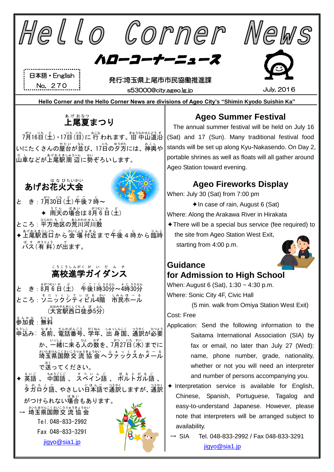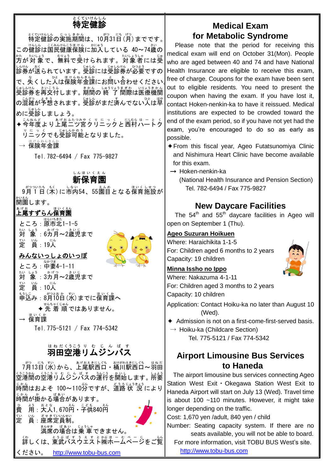#### 特定 とくてい 健 けん 診 しん e<br>S

特定 とくてい 健 けん 診 しん の実施 じっし 期間 きかん は、10月 がつ 31日 にち (月 げつ )までです。 この健診は国民健康保険に加入している 40~74歳の 方 かた が対 象 たいしょう で、無料 むりょう で受 う けられます。対象者 たいしょうしゃ には受 じゅ しゃしょ。<br>診券が送られています。 受診には受診券が必要ですの で、失くした人は保険年金課にお問い合わせください。<sup>「f</sup> <sub>じゅしんけん</sub> きぃこう。<br>受診券を再交付します。 期間の 終 了 間際は医療機関 の混雑が予想されます。受診がまだ済んでない人は単 。<br>めに受診しましょう。

◆今年度より上尾二ツ宮クリニックと西村ハートク りニックでも受診可能となりました。

 $\rightarrow$  保険年金課

Tel.782-6494 / Fax 775-9827

#### 新 保育園 しんほい くえん

9月 がつ 1 つい 日 たち (木 もく )に市内 しない 54、55園目 えんめ となる保育 ほいく 施設 しせつ が 。、、。<br>開園します。

# ぁ<sub>ゖぉ</sub><br>上尾すずらん保育園

ところ : 原市北1-1-5 たい しょう ― ゕゖっ \_ きぃじ<br>対 象 :6カ月〜2歳児まで 定 賞:19人

![](_page_1_Picture_9.jpeg)

- みんないっしょのいっぽ
- ところ:中妻 なかづま 4-1-11 対 たい しょぅ ゕゖっ <u>きぃじ</u><br>「**象 :3カ月〜2歳児まで** 定 てい 。<br>賞 : 10人 もうに<br>申込み : 8月10日(水)までに保育課へ ◆ 先 着 順ではありません。 → 保育課 ほいくか

Tel.775-5121 / Fax 774-5342

# <u>はねだくうこうりょむじんばす</u><br>羽田空港リムジンバス

プβヿ ミニカ (水) から、上尾駅西口・桶川駅西口~羽田 空港間 くうこうかん の空港 くうこう リムジンバス り む じ ん ば す の運行 うんこう を開始 かいし します。所要 しょよう <sub>じゕん</sub><br>時間はおよそ 100~110分ですが、道路 状 況 により 時間 じかん が掛 か かる場合 ばあい があります。 費 ひ ょぅ ぉとな<br>用:大人1,670円・子供840円

![](_page_1_Picture_15.jpeg)

### ください。 [http://www.tobu-bus.com](http://www.tobu-bus.com/)

## **Medical Exam for Metabolic Syndrome**

Please note that the period for receiving this medical exam will end on October 31(Mon). People who are aged between 40 and 74 and have National Health Insurance are eligible to receive this exam, free of charge. Coupons for the exam have been sent out to eligible residents. You need to present the coupon when having the exam. If you have lost it, contact Hoken-nenkin-ka to have it reissued. Medical institutions are expected to be crowded toward the end of the exam period, so if you have not yet had the exam, you're encouraged to do so as early as possible.

- ✦From this fiscal year, Ageo Futatsunomiya Clinic and Nishimura Heart Clinic have become available for this exam.
- → Hoken-nenkin-ka

(National Health Insurance and Pension Section) Tel. 782-6494 / Fax 775-9827

### **New Daycare Facilities**

The  $54<sup>th</sup>$  and  $55<sup>th</sup>$  daycare facilities in Ageo will open on September 1 (Thu).

### **Ageo Suzuran Hoikuen**

Where: Haraichikita 1-1-5 For: Children aged 6 months to 2 years Capacity: 19 children

### **Minna Issho no Ippo**

Where: Nakazuma 4-1-11 For: Children aged 3 months to 2 years Capacity: 10 children

Application: Contact Hoiku-ka no later than August 10 (Wed).

- ✦ Admission is not on a first-come-first-served basis.
- $\rightarrow$  Hoiku-ka (Childcare Section) Tel. 775-5121 / Fax 774-5342

### **Airport Limousine Bus Services to Haneda**

 The airport limousine bus services connecting Ageo Station West Exit・Okegawa Station West Exit to Haneda Airport will start on July 13 (Wed). Travel time is about 100 ~110 minutes. However, it might take longer depending on the traffic.

Cost: 1,670 yen /adult, 840 yen / child

Number: Seating capacity system. If there are no seats available, you will not be able to board.

For more information, visit TOBU BUS West's site. [http://www.tobu-bus.com](http://www.tobu-bus.com/)

![](_page_1_Picture_36.jpeg)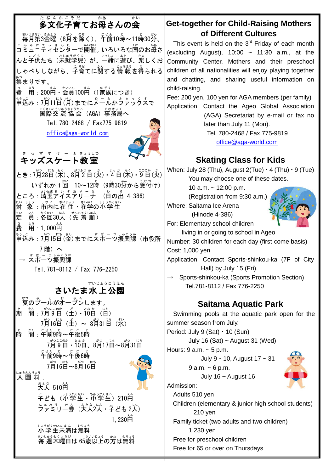#### 多文化 子育 てお母 さんの会 毎月 まいつき 第 だい 3金曜 きんよう (8月 がつ を除 のぞ く)、午前 ごぜん 10時 じ ~11時 じ 30分 ぷん 、 こみゅにてぃせんたニで開催。いろいろな国のお母さ んと子供たち(未就学児)が、一緒に遊び、楽しくお しゃべりしながら、子育てに簢する情報を得られる 集 あつ まりです。 。<br>費 <u>。</u><br>用 : 200円・会員100円(1家族につき) <u>ょっ</u><br>申込み : 7月11日(月)までにメールかファックスで ゠くぉこうゅゅきょぅゕぃ<br>国際交 流 協 会 (AGA)事務局へ Tel.780-2468 / Fax775-9819 [office@aga-world.com](mailto:office@aga-world.co) キッズスケート 教 室 きっすすけ ー ときょうしつ とき : 7月28日 (木) 、8月2日 (火) ・4 日 (木) ・5 日 (火) いずれか 1 回 10~12時(9時30分から受付け) ところ: 埼玉アイスアリーチ (日の出 4-386) 対 たい しょう。」ないに、このいうか、まいに、<br>「象 : 市内に在 住・在学の小学生 定 てい い。 。。 <sub>はんちゃくじゅん</sub><br>員:各回30人(先 着 順) 。<br>費 。<br>用:1, 000ല <u>もうに</u><br>申込み : 7月15日(釜)までにスポーツ振興課(市役所 7 階)へ → <sup>ぇ</sup> ぽっっしんこうゕ<br>→ スポーツ振興課 Tel.781-8112 / Fax 776-2250 さいたま水 上 公園 すいじょう こうえん 。<br>夏のプールがオープンします。 ま<br>期 。<br>簡<sub>:</sub>7月9日(土)・10日(日) <sup>が</sup>゚月16日(土)~ 8月31日(水) 。<br>時 。<br>間 : 午前9時~午後5時 7月 がつ 9 ここ 日 のか ・10 とお 日 か 、8月 がつ 17日 にち ~8月 がつ 31日 にち こ<sub>ぜん じ</sub> こ 」<br>午前9時~午後6時 7月 がつ 16日 にち ~8月 がつ 16日 にち <sub>にゅうえんりょう</sub><br>**入 園 料**: 。<br>大人 510円 <sub>こ</sub><br>子ども(小学生・中学生)210円 <u>゙゙゙<sup>ぅ</sup>ゕッ゠ゖぁ</u>(大人2人・字ども 2人)  $1,230$ 丹 しょうがくせいみまん むりょう<br>**小学生未**満は無料 まいしゅうもくようび<br>毎 週 木曜日は 65歳以上の方は無料 **Get-together for Child-Raising Mothers of Different Cultures** This event is held on the  $3<sup>rd</sup>$  Friday of each month (excluding August),  $10:00 \sim 11:30$  a.m., at the Community Center. Mothers and their preschool children of all nationalities will enjoy playing together and chatting, and sharing useful information on child-raising. Fee: 200 yen, 100 yen for AGA members (per family) Application: Contact the Ageo Global Association (AGA) Secretariat by e-mail or fax no later than July 11 (Mon). Tel. 780-2468 / Fax 775-9819 [office@aga-world.com](mailto:office@aga-world.com)  **Skating Class for Kids** When: July 28 (Thu), August  $2$ (Tue)  $\cdot$  4 (Thu)  $\cdot$  9 (Tue) You may choose one of these dates. 10 a.m. ~ 12:00 p.m. (Registration from 9:30 a.m.) Where: Saitama Ice Arena (Hinode 4-386) For: Elementary school children living in or going to school in Ageo Number: 30 children for each day (first-come basis) Cost: 1,000 yen Application: Contact Sports-shinkou-ka (7F of City Hall) by July 15 (Fri). Sports-shinkou-ka (Sports Promotion Section) Tel.781-8112 / Fax 776-2250 **Saitama Aquatic Park**  Swimming pools at the aquatic park open for the summer season from July. Period: July 9 (Sat)・10 (Sun) July 16 (Sat)  $\sim$  August 31 (Wed) Hours: 9 a.m. ~ 5 p.m. July 9・10, August 17 ~ 31  $9 a.m. ~ 6 p.m.$ July 16  $\sim$  August 16 Admission: Adults 510 yen Children (elementary & junior high school students) 210 yen Family ticket (two adults and two children) 1,230 yen Free for preschool children

Free for 65 or over on Thursdays

#### たぶんか こ そ だ かあ かい